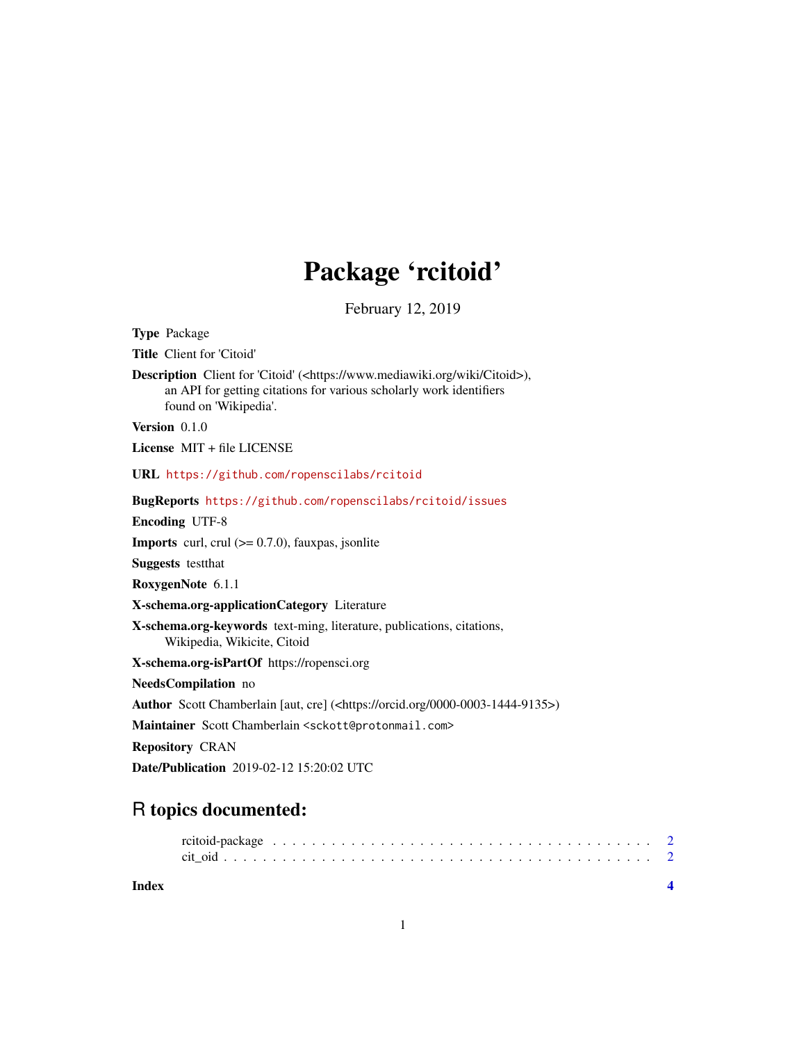## Package 'rcitoid'

February 12, 2019

<span id="page-0-0"></span>Type Package Title Client for 'Citoid' Description Client for 'Citoid' (<https://www.mediawiki.org/wiki/Citoid>), an API for getting citations for various scholarly work identifiers found on 'Wikipedia'. Version 0.1.0 License MIT + file LICENSE URL <https://github.com/ropenscilabs/rcitoid> BugReports <https://github.com/ropenscilabs/rcitoid/issues> Encoding UTF-8 **Imports** curl, crul  $(>= 0.7.0)$ , fauxpas, jsonlite Suggests testthat RoxygenNote 6.1.1 X-schema.org-applicationCategory Literature X-schema.org-keywords text-ming, literature, publications, citations, Wikipedia, Wikicite, Citoid X-schema.org-isPartOf https://ropensci.org NeedsCompilation no Author Scott Chamberlain [aut, cre] (<https://orcid.org/0000-0003-1444-9135>) Maintainer Scott Chamberlain <sckott@protonmail.com> Repository CRAN

Date/Publication 2019-02-12 15:20:02 UTC

### R topics documented:

**Index** [4](#page-3-0)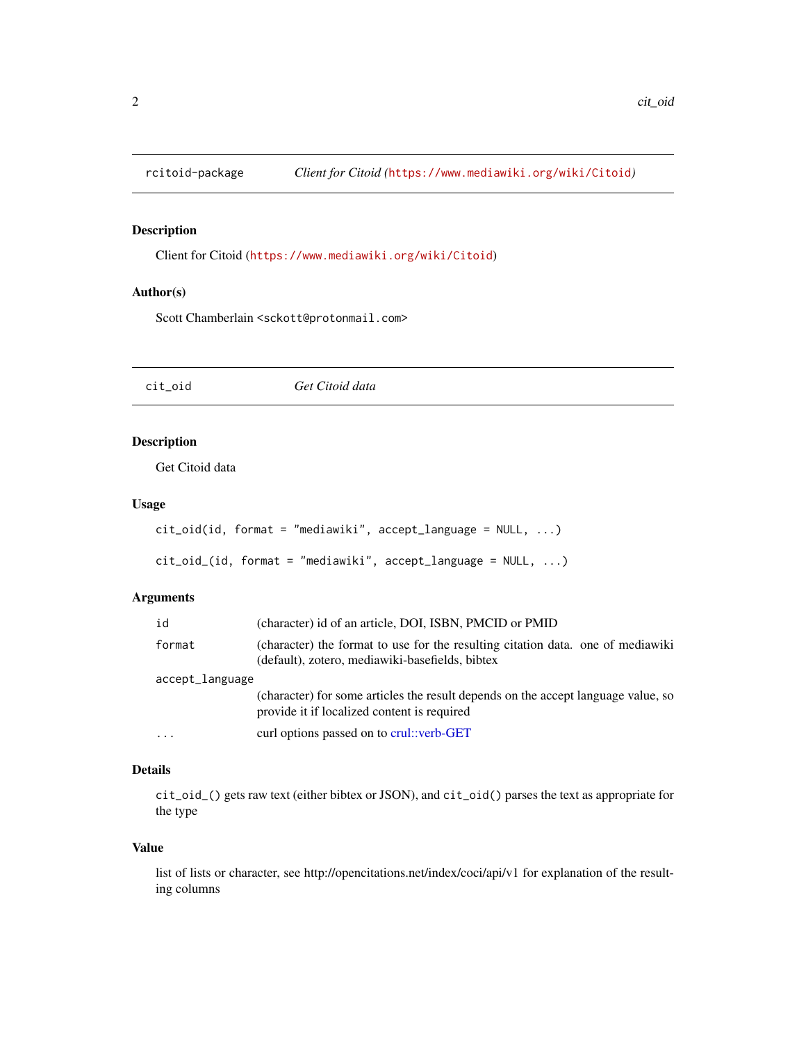<span id="page-1-0"></span>

#### Description

Client for Citoid (<https://www.mediawiki.org/wiki/Citoid>)

#### Author(s)

Scott Chamberlain <sckott@protonmail.com>

cit\_oid *Get Citoid data*

#### Description

Get Citoid data

#### Usage

```
cit_oid(id, format = "mediawiki", accept_language = NULL, ...)
```

```
cit_oid_(id, format = "mediawiki", accept_language = NULL, ...)
```
#### Arguments

| id              | (character) id of an article, DOI, ISBN, PMCID or PMID                                                                             |
|-----------------|------------------------------------------------------------------------------------------------------------------------------------|
| format          | (character) the format to use for the resulting citation data, one of mediawiki<br>(default), zotero, mediawiki-basefields, bibtex |
| accept_language |                                                                                                                                    |
|                 | (character) for some articles the result depends on the accept language value, so<br>provide it if localized content is required   |
| .               | curl options passed on to crul: verb-GET                                                                                           |

#### Details

cit\_oid\_() gets raw text (either bibtex or JSON), and cit\_oid() parses the text as appropriate for the type

#### Value

list of lists or character, see http://opencitations.net/index/coci/api/v1 for explanation of the resulting columns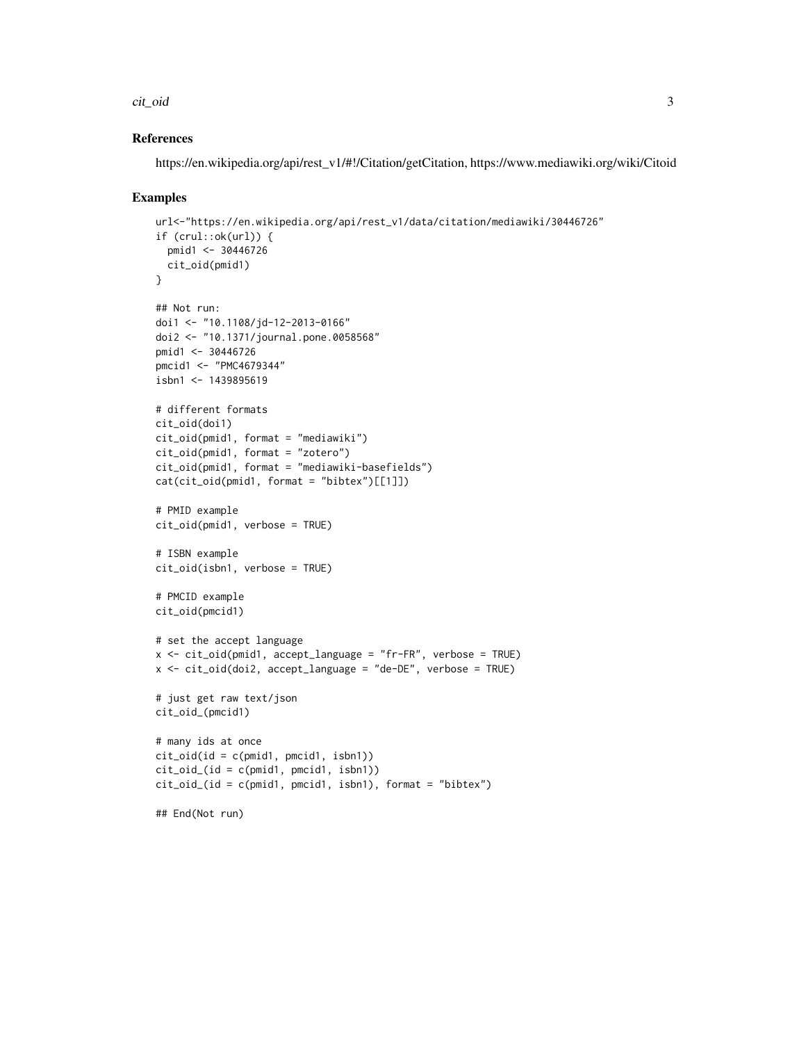#### cit\_oid 3

#### References

https://en.wikipedia.org/api/rest\_v1/#!/Citation/getCitation, https://www.mediawiki.org/wiki/Citoid

#### Examples

```
url<-"https://en.wikipedia.org/api/rest_v1/data/citation/mediawiki/30446726"
if (crul::ok(url)) {
  pmid1 <- 30446726
 cit_oid(pmid1)
}
## Not run:
doi1 <- "10.1108/jd-12-2013-0166"
doi2 <- "10.1371/journal.pone.0058568"
pmid1 <- 30446726
pmcid1 <- "PMC4679344"
isbn1 < -1439895619# different formats
cit_oid(doi1)
cit_oid(pmid1, format = "mediawiki")
cit_oid(pmid1, format = "zotero")
cit_oid(pmid1, format = "mediawiki-basefields")
cat(cit_oid(pmid1, format = "bibtex")[[1]])
# PMID example
cit_oid(pmid1, verbose = TRUE)
# ISBN example
cit_oid(isbn1, verbose = TRUE)
# PMCID example
cit_oid(pmcid1)
# set the accept language
x <- cit_oid(pmid1, accept_language = "fr-FR", verbose = TRUE)
x \le -\text{cit\_oid}(doi2, \text{accept\_language = "de-DE", \text{ verbose = TRUE})}# just get raw text/json
cit_oid_(pmcid1)
# many ids at once
cit_oid(id = c(pmid1, pmcid1, isbn1))
cit_oid_(id = c(pmid1, pmcid1, isbn1))
cit_oid_(id = c(pmid1, pmcid1, isbn1), format = "bibtex")
## End(Not run)
```